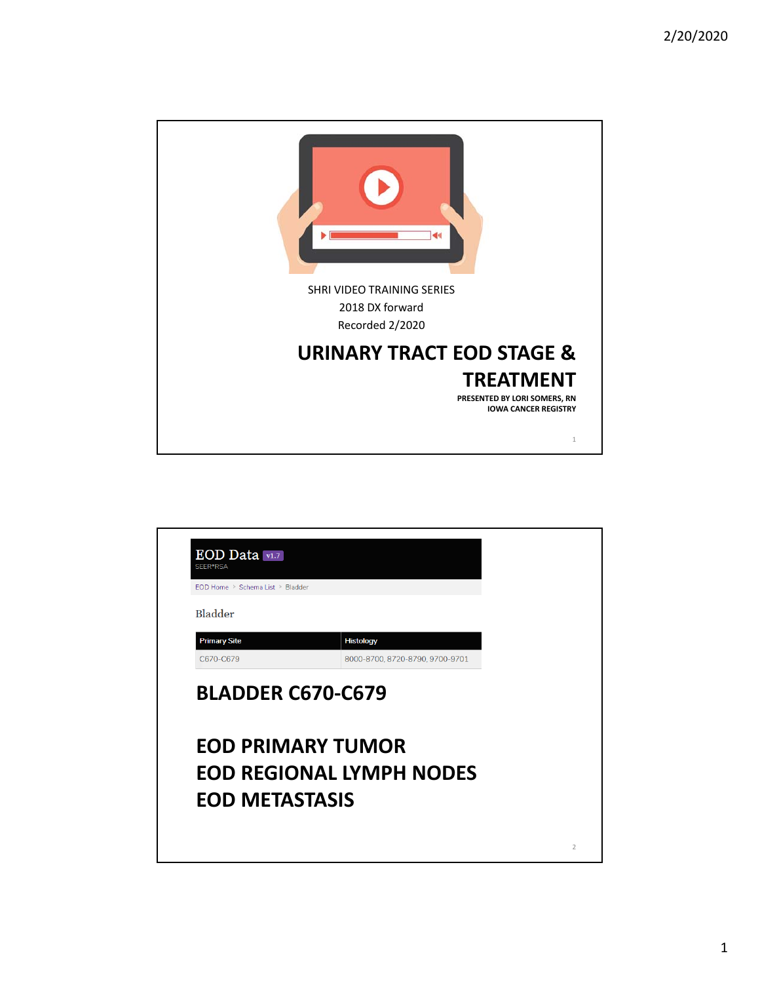

| EOD Home > Schema List > Bladder      |                                 |  |
|---------------------------------------|---------------------------------|--|
| Bladder                               |                                 |  |
| <b>Primary Site</b>                   | <b>Histology</b>                |  |
|                                       |                                 |  |
| C670-C679<br><b>BLADDER C670-C679</b> | 8000-8700, 8720-8790, 9700-9701 |  |
|                                       | <b>EOD PRIMARY TUMOR</b>        |  |
|                                       | <b>EOD REGIONAL LYMPH NODES</b> |  |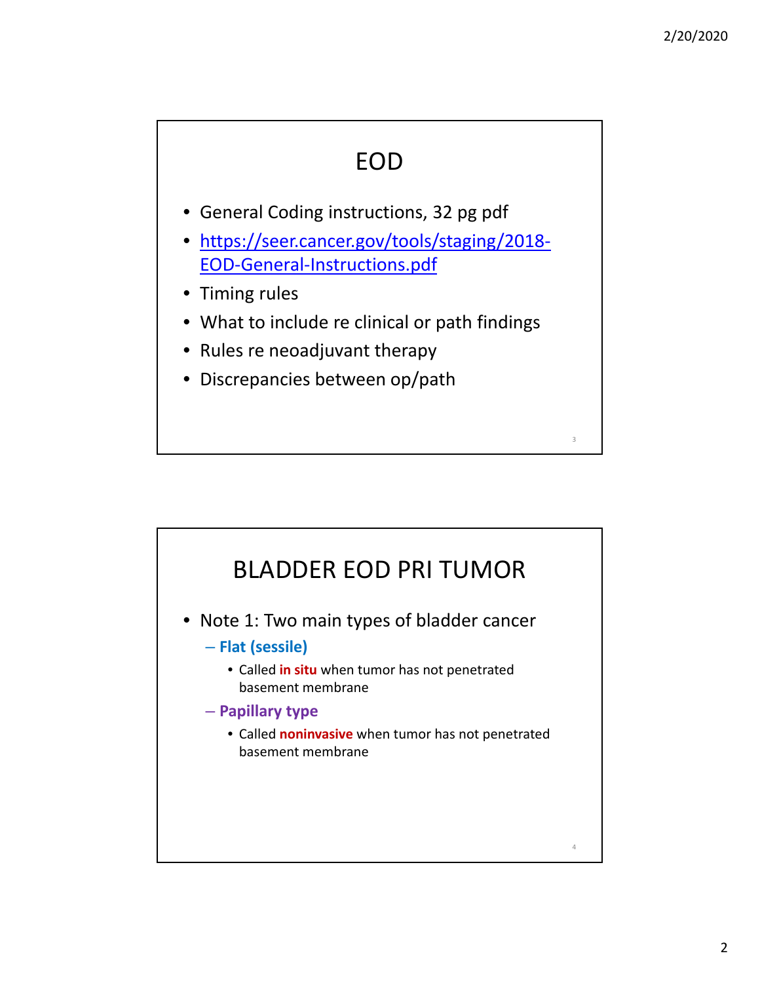#### EOD

- General Coding instructions, 32 pg pdf
- https://seer.cancer.gov/tools/staging/2018‐ EOD‐General‐Instructions.pdf
- Timing rules
- What to include re clinical or path findings
- Rules re neoadjuvant therapy
- Discrepancies between op/path

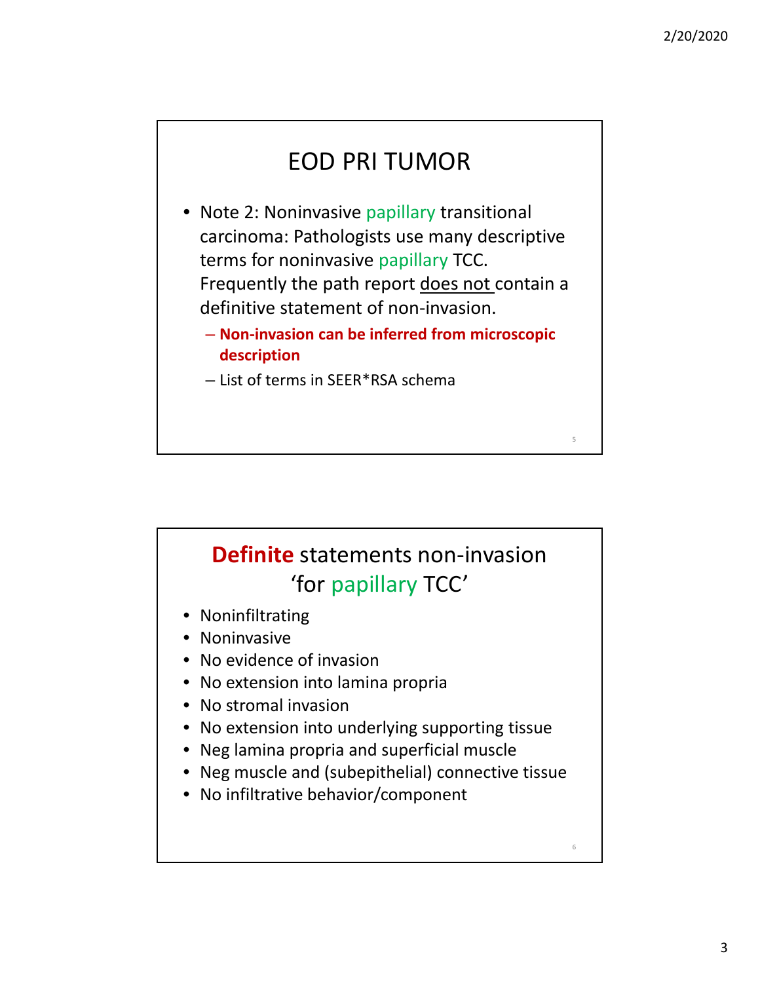6

### EOD PRI TUMOR

- Note 2: Noninvasive papillary transitional carcinoma: Pathologists use many descriptive terms for noninvasive papillary TCC. Frequently the path report does not contain a definitive statement of non-invasion.
	- **Non‐invasion can be inferred from microscopic description**
	- List of terms in SEER\*RSA schema

## **Definite** statements non‐invasion 'for papillary TCC'

- Noninfiltrating
- Noninvasive
- No evidence of invasion
- No extension into lamina propria
- No stromal invasion
- No extension into underlying supporting tissue
- Neg lamina propria and superficial muscle
- Neg muscle and (subepithelial) connective tissue
- No infiltrative behavior/component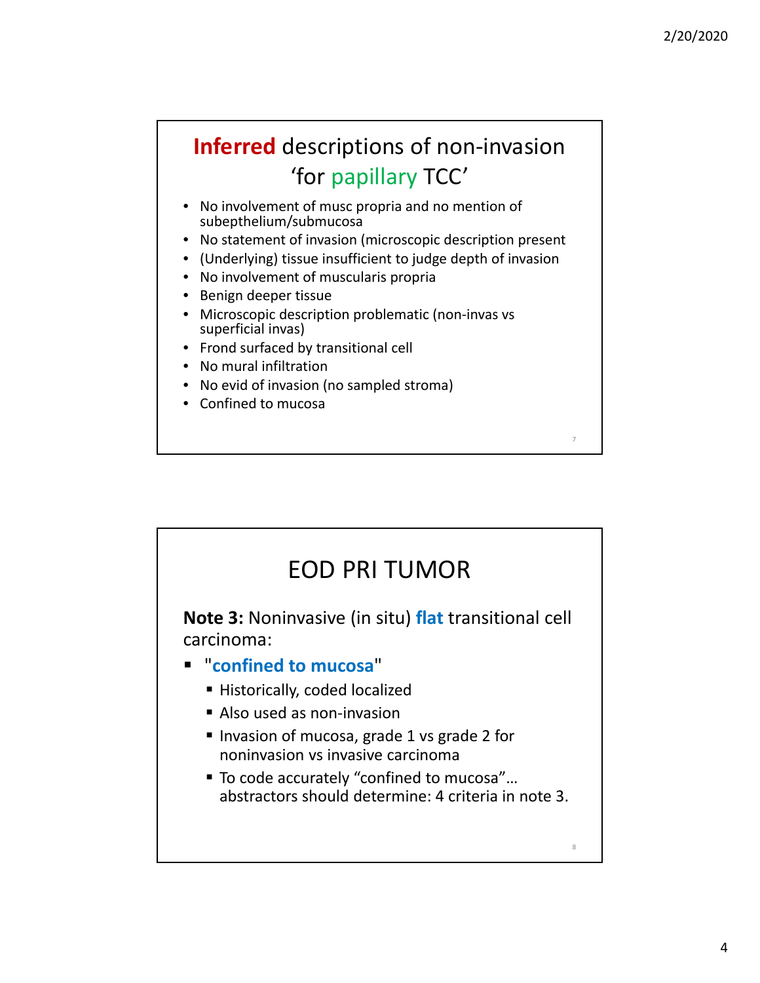8

### **Inferred** descriptions of non‐invasion 'for papillary TCC'

- No involvement of musc propria and no mention of subepthelium/submucosa
- No statement of invasion (microscopic description present
- (Underlying) tissue insufficient to judge depth of invasion
- No involvement of muscularis propria
- Benign deeper tissue
- Microscopic description problematic (non-invas vs superficial invas)
- Frond surfaced by transitional cell
- No mural infiltration
- No evid of invasion (no sampled stroma)
- Confined to mucosa

#### EOD PRI TUMOR

**Note 3:** Noninvasive (in situ) **flat** transitional cell carcinoma:

#### "**confined to mucosa**"

- **Historically, coded localized**
- Also used as non-invasion
- Invasion of mucosa, grade 1 vs grade 2 for noninvasion vs invasive carcinoma
- To code accurately "confined to mucosa"... abstractors should determine: 4 criteria in note 3.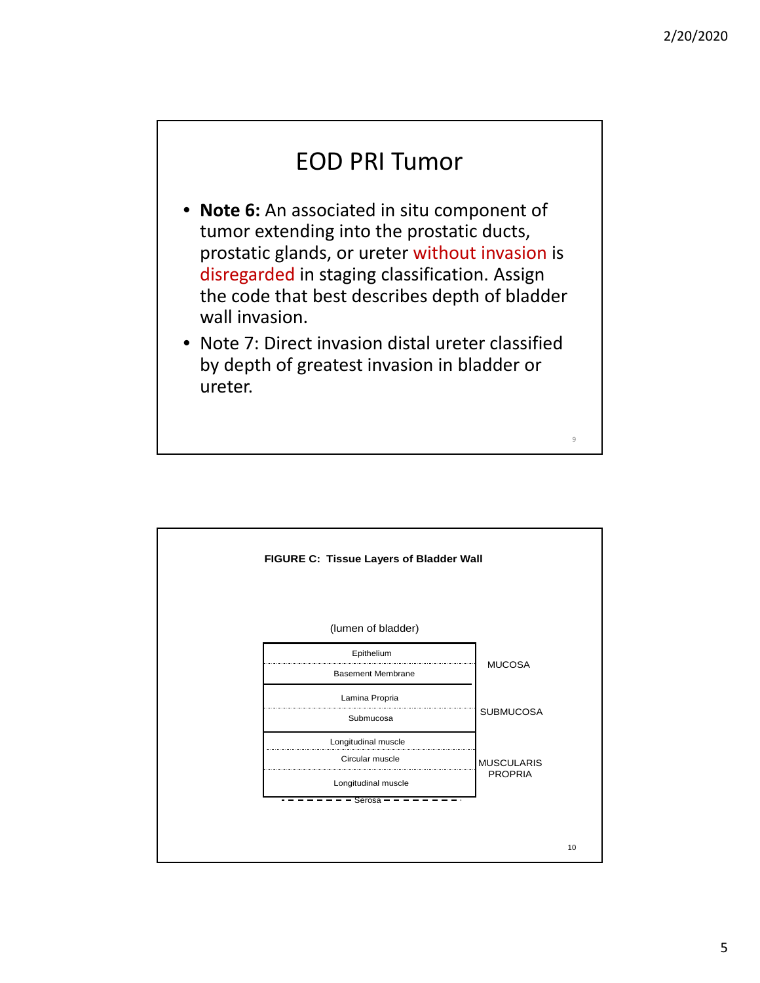#### EOD PRI Tumor

- **Note 6:** An associated in situ component of tumor extending into the prostatic ducts, prostatic glands, or ureter without invasion is disregarded in staging classification. Assign the code that best describes depth of bladder wall invasion.
- Note 7: Direct invasion distal ureter classified by depth of greatest invasion in bladder or ureter.

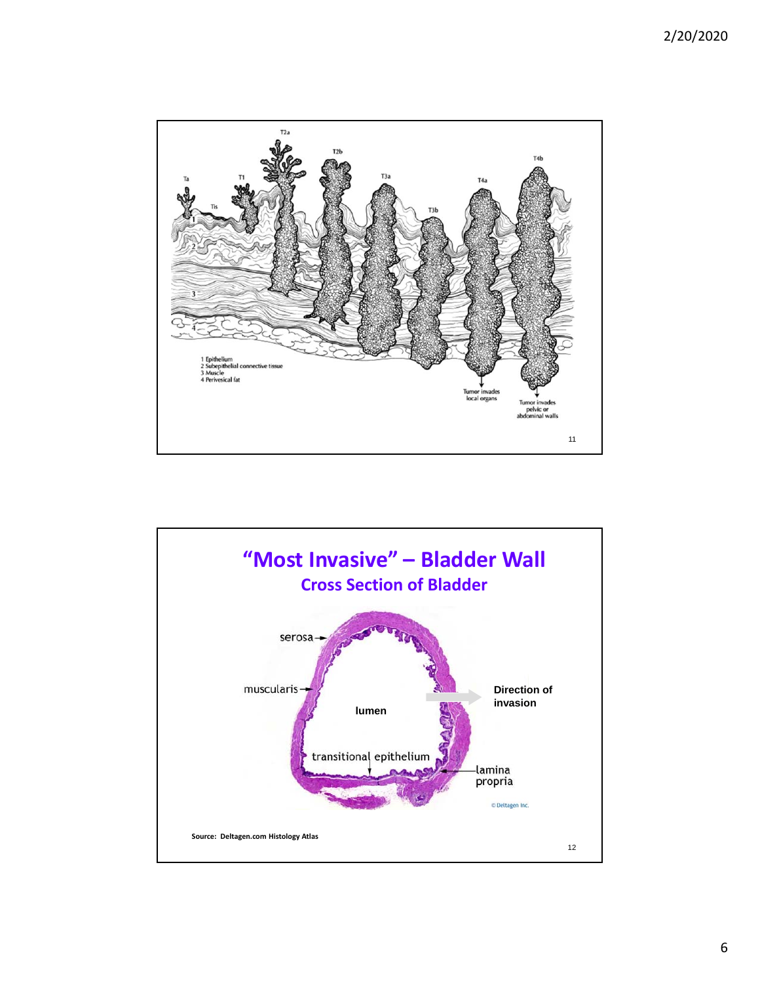

![](_page_5_Figure_2.jpeg)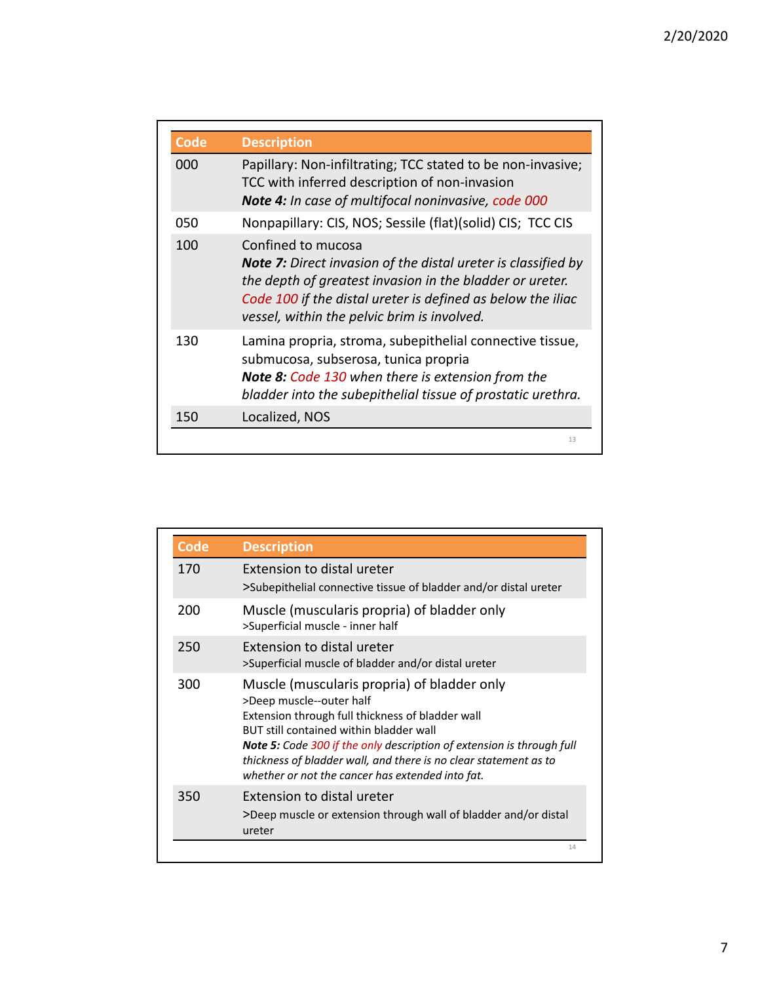| <b>Code</b> | <b>Description</b>                                                                                                                                                                                                                                                   |
|-------------|----------------------------------------------------------------------------------------------------------------------------------------------------------------------------------------------------------------------------------------------------------------------|
| 000         | Papillary: Non-infiltrating; TCC stated to be non-invasive;<br>TCC with inferred description of non-invasion<br><b>Note 4:</b> In case of multifocal noninvasive, code 000                                                                                           |
| 050         | Nonpapillary: CIS, NOS; Sessile (flat)(solid) CIS; TCC CIS                                                                                                                                                                                                           |
| 100         | Confined to mucosa<br><b>Note 7:</b> Direct invasion of the distal ureter is classified by<br>the depth of greatest invasion in the bladder or ureter.<br>Code 100 if the distal ureter is defined as below the iliac<br>vessel, within the pelvic brim is involved. |
| 130         | Lamina propria, stroma, subepithelial connective tissue,<br>submucosa, subserosa, tunica propria<br><b>Note 8: Code 130 when there is extension from the</b><br>bladder into the subepithelial tissue of prostatic urethra.                                          |
| 150         | Localized, NOS                                                                                                                                                                                                                                                       |

| <b>Code</b> | <b>Description</b>                                                                                                                                                                                                                                                                                                                                                             |
|-------------|--------------------------------------------------------------------------------------------------------------------------------------------------------------------------------------------------------------------------------------------------------------------------------------------------------------------------------------------------------------------------------|
| 170         | Extension to distal ureter<br>>Subepithelial connective tissue of bladder and/or distal ureter                                                                                                                                                                                                                                                                                 |
| 200         | Muscle (muscularis propria) of bladder only<br>>Superficial muscle - inner half                                                                                                                                                                                                                                                                                                |
| 250         | Extension to distal ureter<br>>Superficial muscle of bladder and/or distal ureter                                                                                                                                                                                                                                                                                              |
| 300         | Muscle (muscularis propria) of bladder only<br>>Deep muscle--outer half<br>Extension through full thickness of bladder wall<br>BUT still contained within bladder wall<br><b>Note 5:</b> Code 300 if the only description of extension is through full<br>thickness of bladder wall, and there is no clear statement as to<br>whether or not the cancer has extended into fat. |
| 350         | Extension to distal ureter<br>>Deep muscle or extension through wall of bladder and/or distal<br>ureter                                                                                                                                                                                                                                                                        |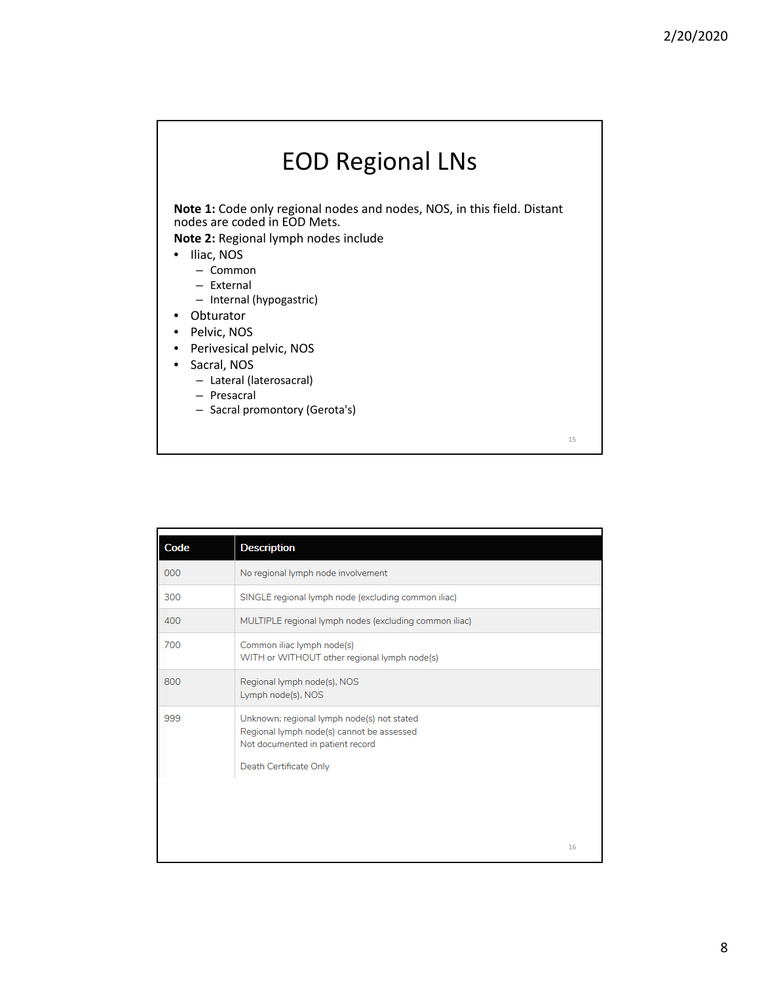## EOD Regional LNs

**Note 1:** Code only regional nodes and nodes, NOS, in this field. Distant nodes are coded in EOD Mets.

**Note 2:** Regional lymph nodes include

- Iliac, NOS
	- Common
	- External
	- Internal (hypogastric)
- Obturator
- Pelvic, NOS
- Perivesical pelvic, NOS
- Sacral, NOS
	- Lateral (laterosacral)
	- Presacral
	- Sacral promontory (Gerota's)

| Code | <b>Description</b>                                                                                                                                    |    |
|------|-------------------------------------------------------------------------------------------------------------------------------------------------------|----|
| 000  | No regional lymph node involvement                                                                                                                    |    |
| 300  | SINGLE regional lymph node (excluding common iliac)                                                                                                   |    |
| 400  | MULTIPLE regional lymph nodes (excluding common iliac)                                                                                                |    |
| 700  | Common iliac lymph node(s)<br>WITH or WITHOUT other regional lymph node(s)                                                                            |    |
| 800  | Regional lymph node(s), NOS<br>Lymph node(s), NOS                                                                                                     |    |
| 999  | Unknown; regional lymph node(s) not stated<br>Regional lymph node(s) cannot be assessed<br>Not documented in patient record<br>Death Certificate Only |    |
|      |                                                                                                                                                       |    |
|      |                                                                                                                                                       | 16 |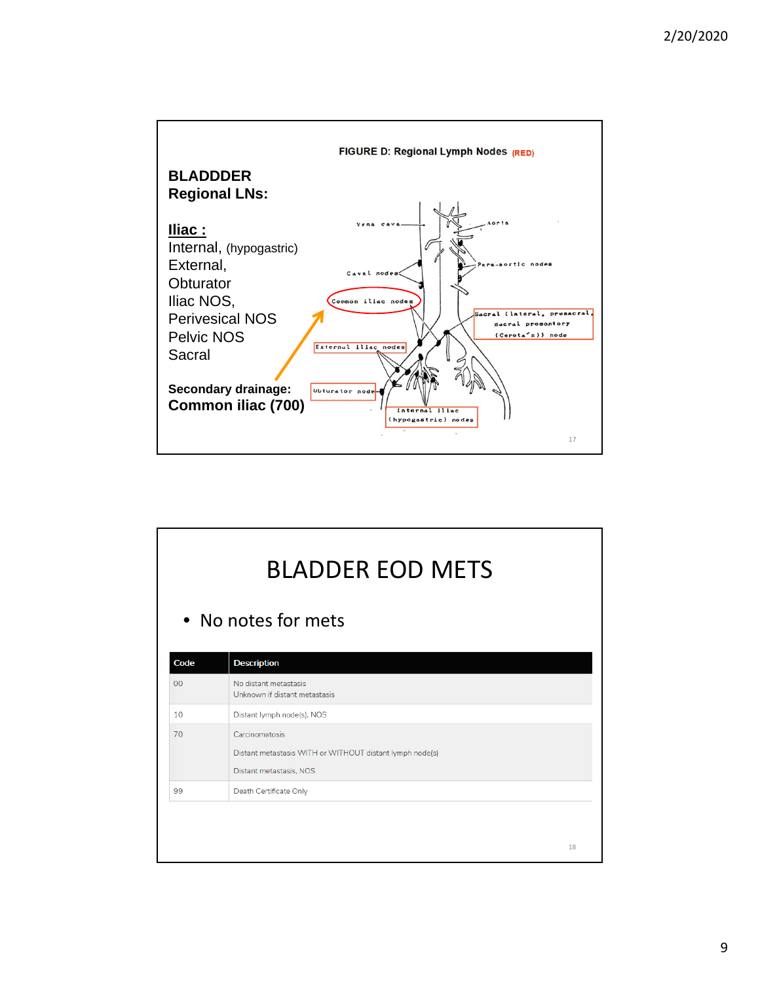![](_page_8_Figure_1.jpeg)

|                | <b>BLADDER EOD METS</b><br>• No notes for mets                                                        |    |  |
|----------------|-------------------------------------------------------------------------------------------------------|----|--|
| Code           | <b>Description</b>                                                                                    |    |  |
| 0 <sup>0</sup> | No distant metastasis<br>Unknown if distant metastasis                                                |    |  |
| 10             | Distant lymph node(s), NOS                                                                            |    |  |
| 70             | Carcinomatosis<br>Distant metastasis WITH or WITHOUT distant lymph node(s)<br>Distant metastasis, NOS |    |  |
| 99             | Death Certificate Only                                                                                |    |  |
|                |                                                                                                       | 18 |  |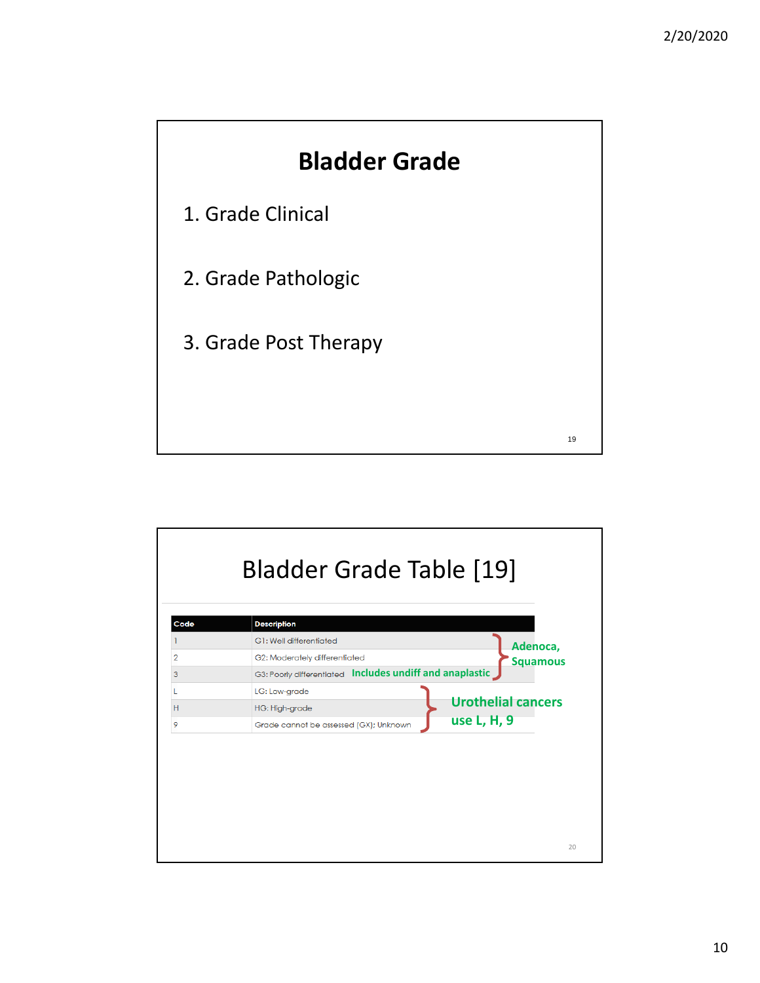![](_page_9_Figure_1.jpeg)

![](_page_9_Figure_2.jpeg)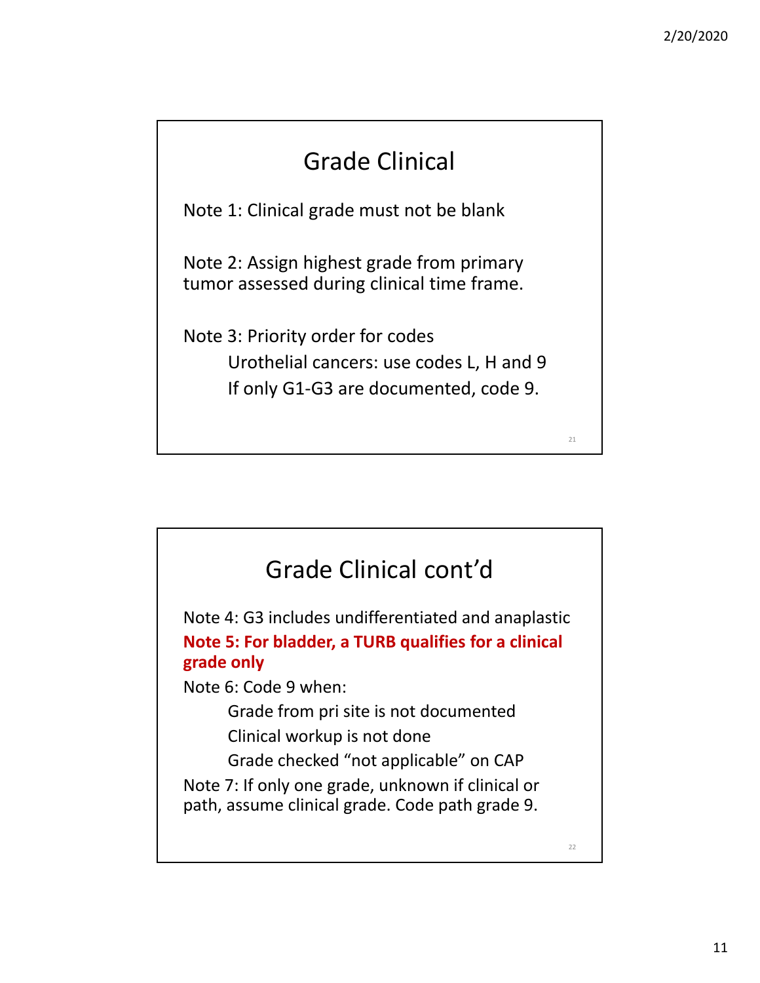## Grade Clinical

Note 1: Clinical grade must not be blank

Note 2: Assign highest grade from primary tumor assessed during clinical time frame.

Note 3: Priority order for codes Urothelial cancers: use codes L, H and 9 If only G1‐G3 are documented, code 9.

![](_page_10_Figure_5.jpeg)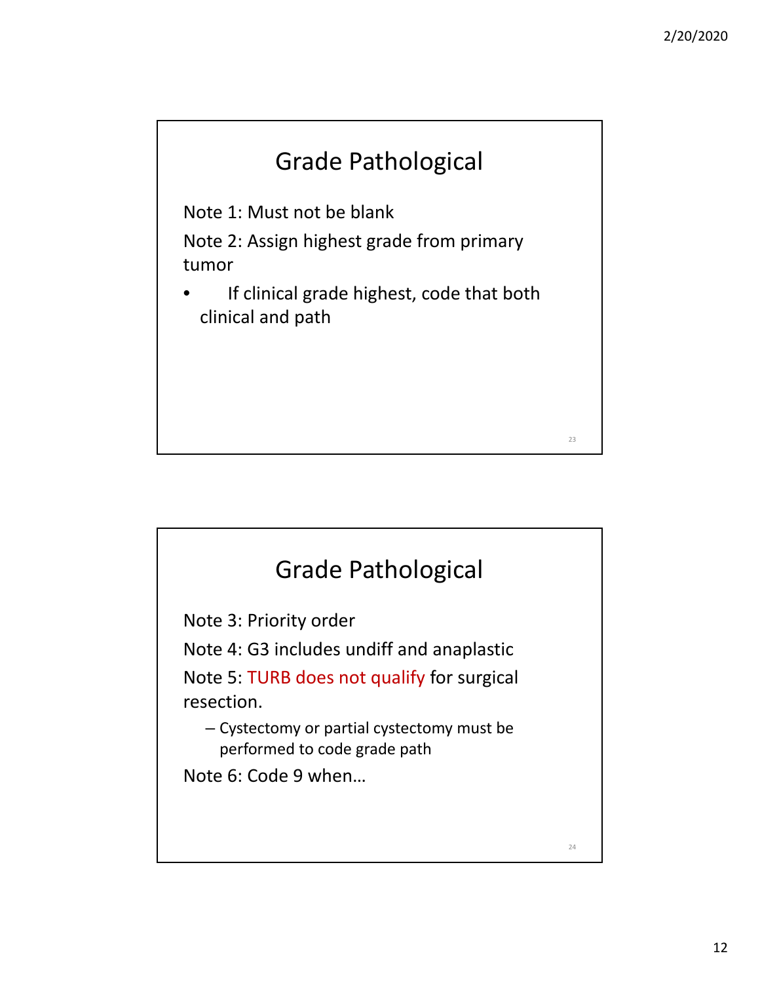![](_page_11_Figure_1.jpeg)

Note 1: Must not be blank

Note 2: Assign highest grade from primary tumor

If clinical grade highest, code that both clinical and path

![](_page_11_Figure_5.jpeg)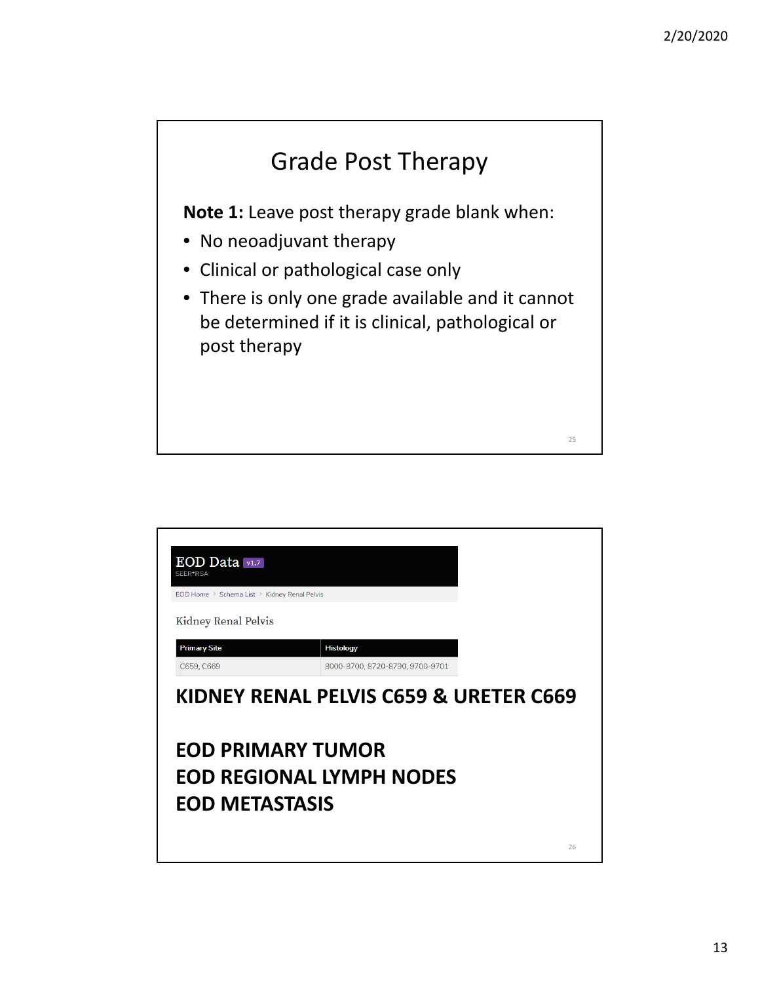![](_page_12_Figure_1.jpeg)

| EOD Data v1.7<br>SEER*RSA<br>EOD Home > Schema List > Kidney Renal Pelvis<br>Kidney Renal Pelvis |                                        |    |
|--------------------------------------------------------------------------------------------------|----------------------------------------|----|
| <b>Primary Site</b>                                                                              | <b>Histology</b>                       |    |
| C659, C669                                                                                       | 8000-8700, 8720-8790, 9700-9701        |    |
|                                                                                                  | KIDNEY RENAL PELVIS C659 & URETER C669 |    |
| <b>EOD PRIMARY TUMOR</b><br><b>EOD METASTASIS</b>                                                | <b>EOD REGIONAL LYMPH NODES</b>        | 26 |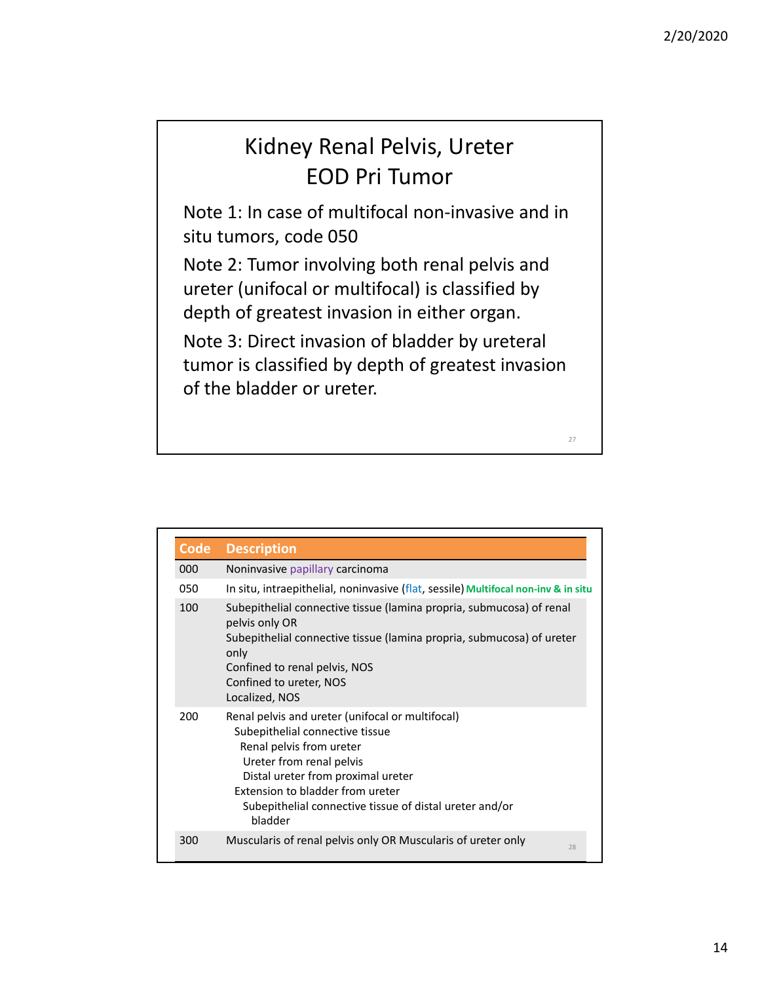#### Kidney Renal Pelvis, Ureter EOD Pri Tumor

Note 1: In case of multifocal non‐invasive and in situ tumors, code 050

Note 2: Tumor involving both renal pelvis and ureter (unifocal or multifocal) is classified by depth of greatest invasion in either organ.

Note 3: Direct invasion of bladder by ureteral tumor is classified by depth of greatest invasion of the bladder or ureter.

| <b>Code</b> | <b>Description</b>                                                                                                                                                                                                                                                                          |
|-------------|---------------------------------------------------------------------------------------------------------------------------------------------------------------------------------------------------------------------------------------------------------------------------------------------|
| 000         | Noninvasive papillary carcinoma                                                                                                                                                                                                                                                             |
| 050         | In situ, intraepithelial, noninvasive (flat, sessile) Multifocal non-inv & in situ                                                                                                                                                                                                          |
| 100         | Subepithelial connective tissue (lamina propria, submucosa) of renal<br>pelvis only OR<br>Subepithelial connective tissue (lamina propria, submucosa) of ureter<br>only<br>Confined to renal pelvis, NOS<br>Confined to ureter, NOS<br>Localized, NOS                                       |
| 200         | Renal pelvis and ureter (unifocal or multifocal)<br>Subepithelial connective tissue<br>Renal pelvis from ureter<br>Ureter from renal pelvis<br>Distal ureter from proximal ureter<br>Extension to bladder from ureter<br>Subepithelial connective tissue of distal ureter and/or<br>bladder |
| 300         | Muscularis of renal pelvis only OR Muscularis of ureter only<br>28                                                                                                                                                                                                                          |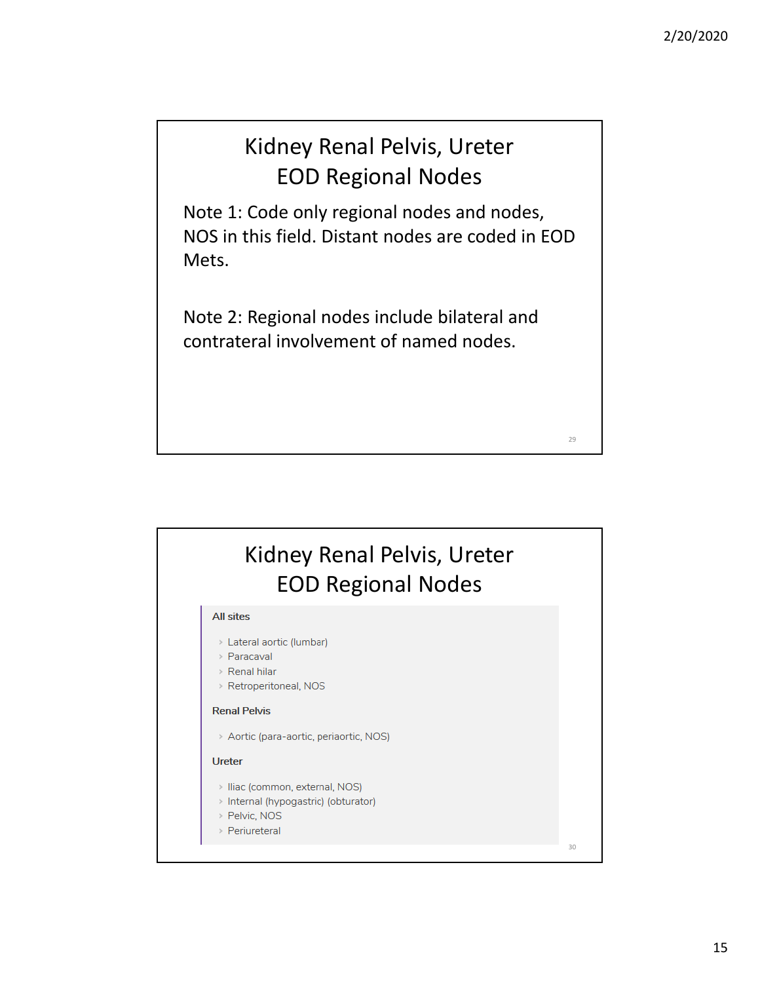#### Kidney Renal Pelvis, Ureter EOD Regional Nodes

Note 1: Code only regional nodes and nodes, NOS in this field. Distant nodes are coded in EOD Mets.

Note 2: Regional nodes include bilateral and contrateral involvement of named nodes.

#### Kidney Renal Pelvis, Ureter EOD Regional Nodes **All sites** > Lateral aortic (lumbar) > Paracaval > Renal hilar > Retroperitoneal, NOS **Renal Pelvis** > Aortic (para-aortic, periaortic, NOS) **Ureter** > Iliac (common, external, NOS) > Internal (hypogastric) (obturator) > Pelvic, NOS > Periureteral 30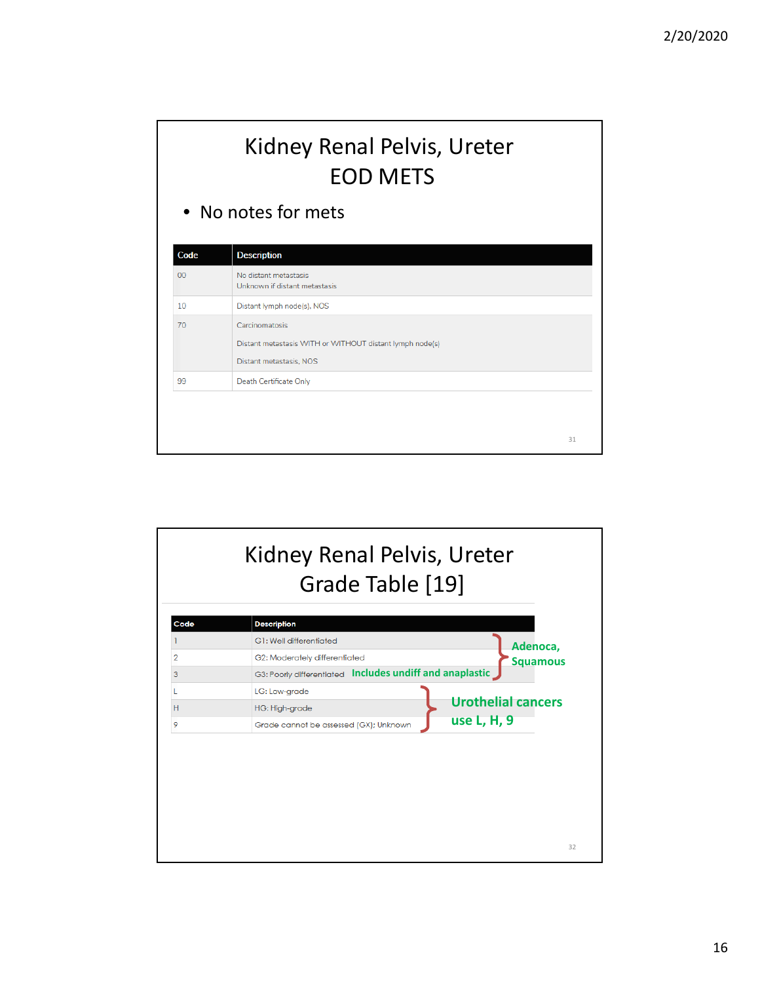## Kidney Renal Pelvis, Ureter EOD METS

• No notes for mets

| Code | <b>Description</b>                                                                                    |  |
|------|-------------------------------------------------------------------------------------------------------|--|
| 00   | No distant metastasis<br>Unknown if distant metastasis                                                |  |
| 10   | Distant lymph node(s), NOS                                                                            |  |
| 70   | Carcinomatosis<br>Distant metastasis WITH or WITHOUT distant lymph node(s)<br>Distant metastasis, NOS |  |
| 99   | Death Certificate Only                                                                                |  |

![](_page_15_Figure_4.jpeg)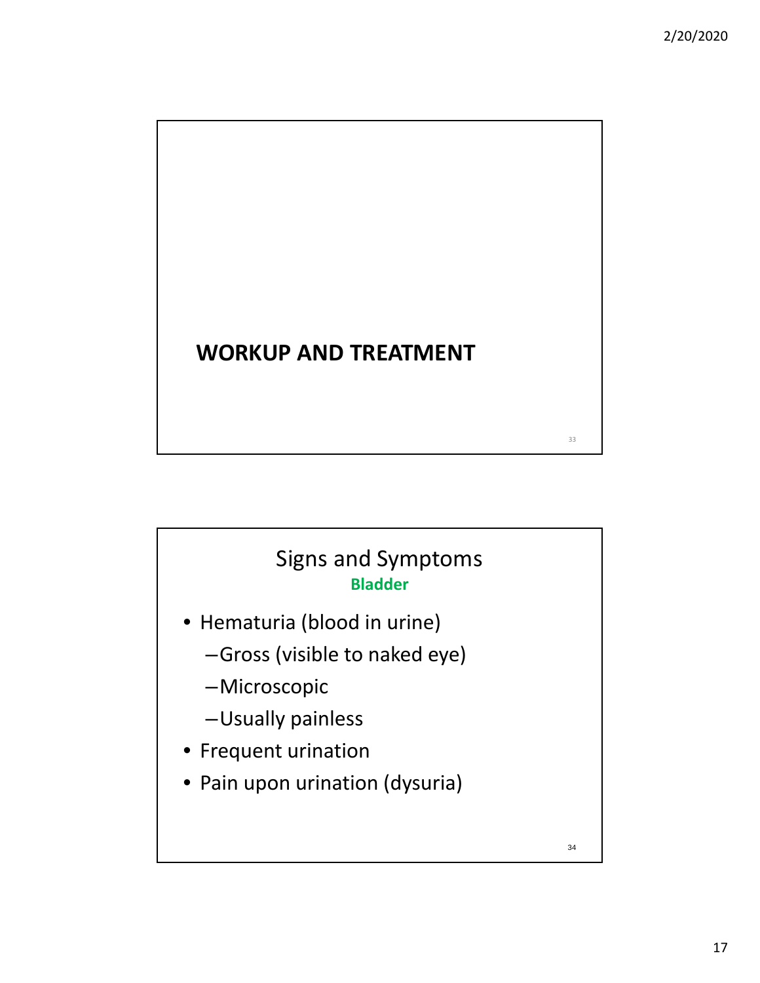# **WORKUP AND TREATMENT**

#### Signs and Symptoms **Bladder**

- Hematuria (blood in urine)
	- –Gross (visible to naked eye)
	- –Microscopic
	- –Usually painless
- Frequent urination
- Pain upon urination (dysuria)

34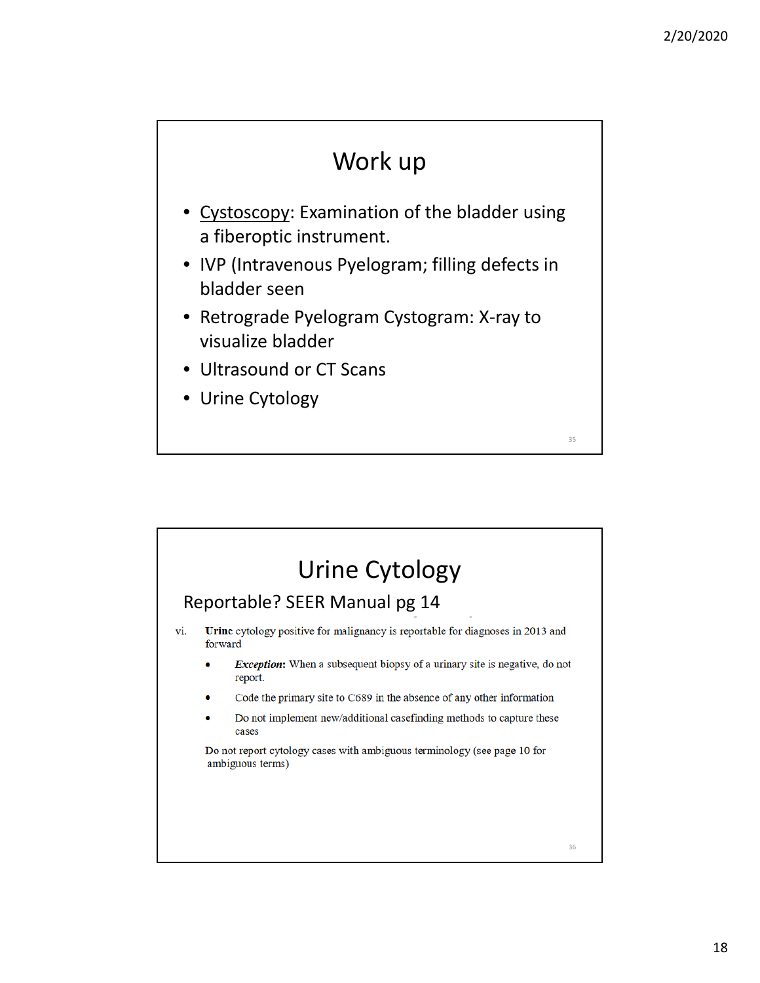#### Work up

- Cystoscopy: Examination of the bladder using a fiberoptic instrument.
- IVP (Intravenous Pyelogram; filling defects in bladder seen
- Retrograde Pyelogram Cystogram: X‐ray to visualize bladder
- Ultrasound or CT Scans
- Urine Cytology

## Urine Cytology

#### Reportable? SEER Manual pg 14

- Urine cytology positive for malignancy is reportable for diagnoses in 2013 and vi. forward
	- *Exception*: When a subsequent biopsy of a urinary site is negative, do not report.
	- Code the primary site to C689 in the absence of any other information
	- Do not implement new/additional casefinding methods to capture these cases

Do not report cytology cases with ambiguous terminology (see page 10 for ambiguous terms)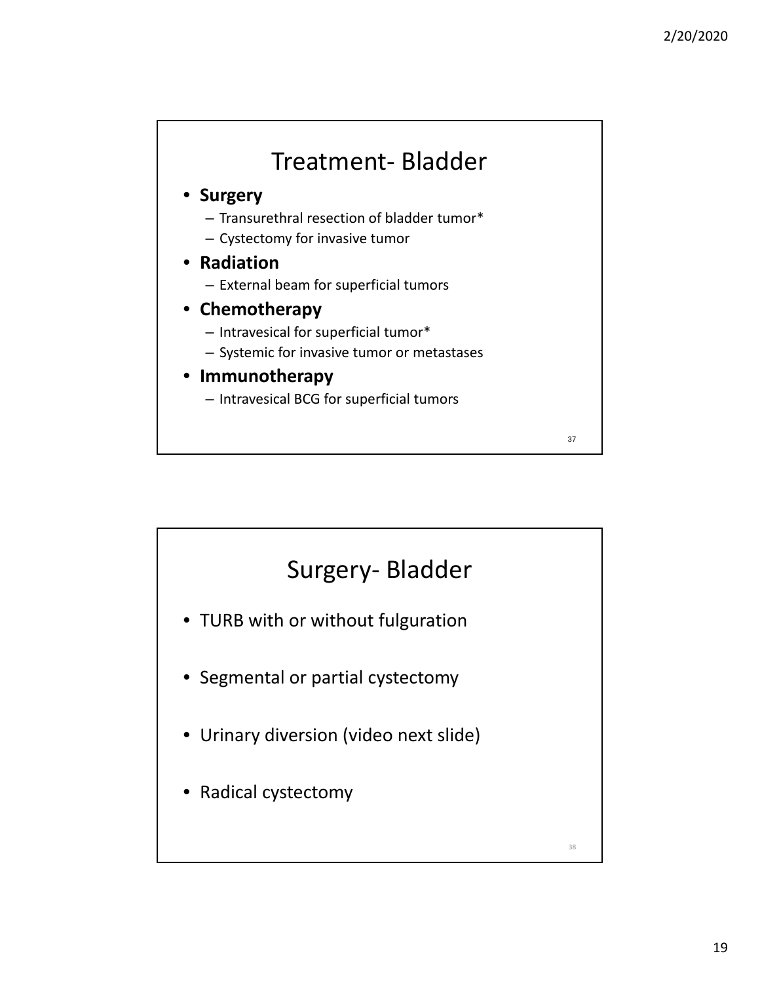#### Treatment‐ Bladder

#### • **Surgery**

- Transurethral resection of bladder tumor\*
- Cystectomy for invasive tumor
- **Radiation**
	- External beam for superficial tumors
- **Chemotherapy**
	- Intravesical for superficial tumor\*
	- Systemic for invasive tumor or metastases

#### • **Immunotherapy**

– Intravesical BCG for superficial tumors

![](_page_18_Figure_12.jpeg)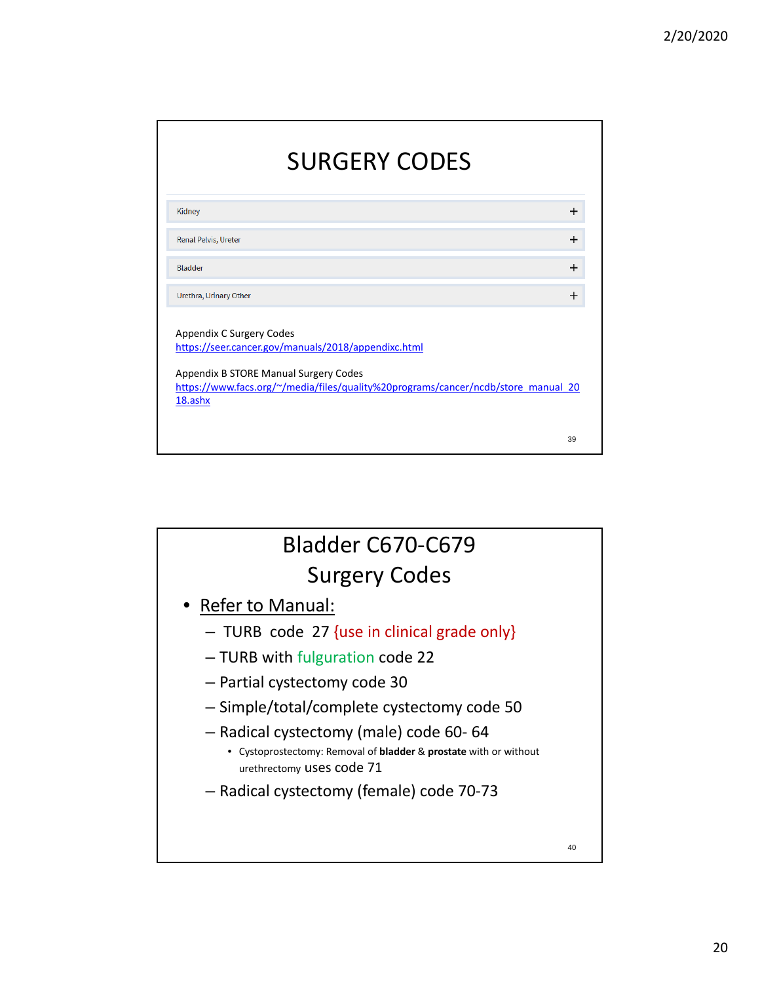| <b>SURGERY CODES</b>                                                                                                                                                                                                     |    |
|--------------------------------------------------------------------------------------------------------------------------------------------------------------------------------------------------------------------------|----|
| Kidney                                                                                                                                                                                                                   |    |
| <b>Renal Pelvis, Ureter</b>                                                                                                                                                                                              |    |
| <b>Bladder</b>                                                                                                                                                                                                           | ÷. |
| Urethra, Urinary Other                                                                                                                                                                                                   |    |
| Appendix C Surgery Codes<br>https://seer.cancer.gov/manuals/2018/appendixc.html<br>Appendix B STORE Manual Surgery Codes<br>https://www.facs.org/~/media/files/quality%20programs/cancer/ncdb/store_manual_20<br>18.ashx |    |
|                                                                                                                                                                                                                          | 39 |

![](_page_19_Figure_2.jpeg)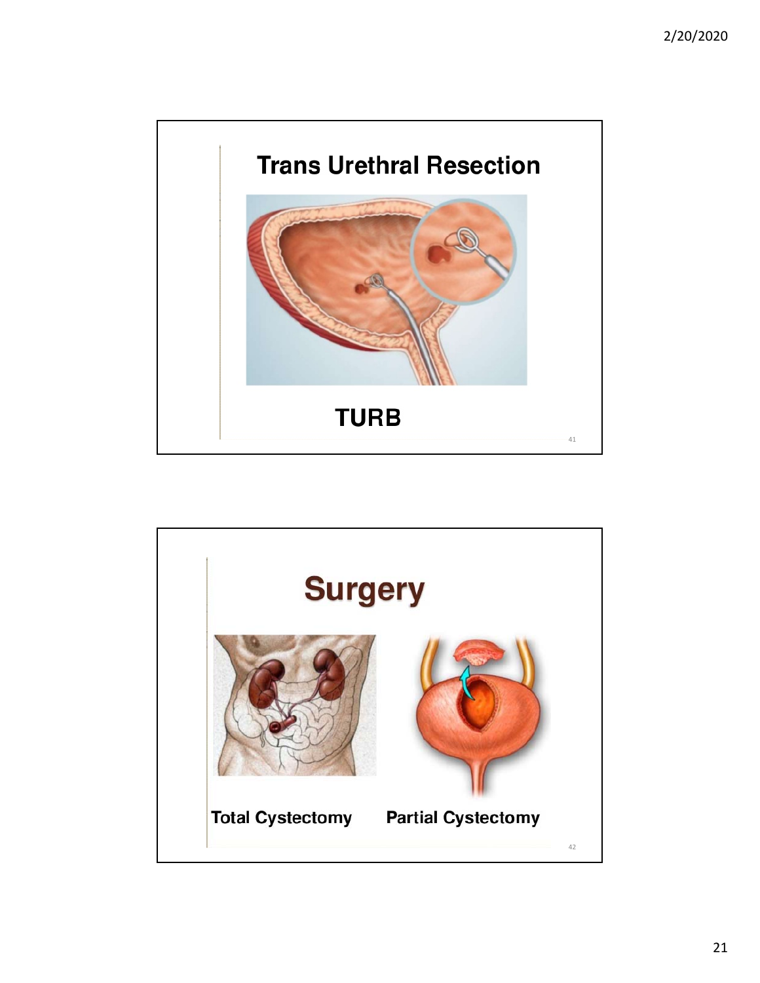![](_page_20_Picture_1.jpeg)

![](_page_20_Picture_2.jpeg)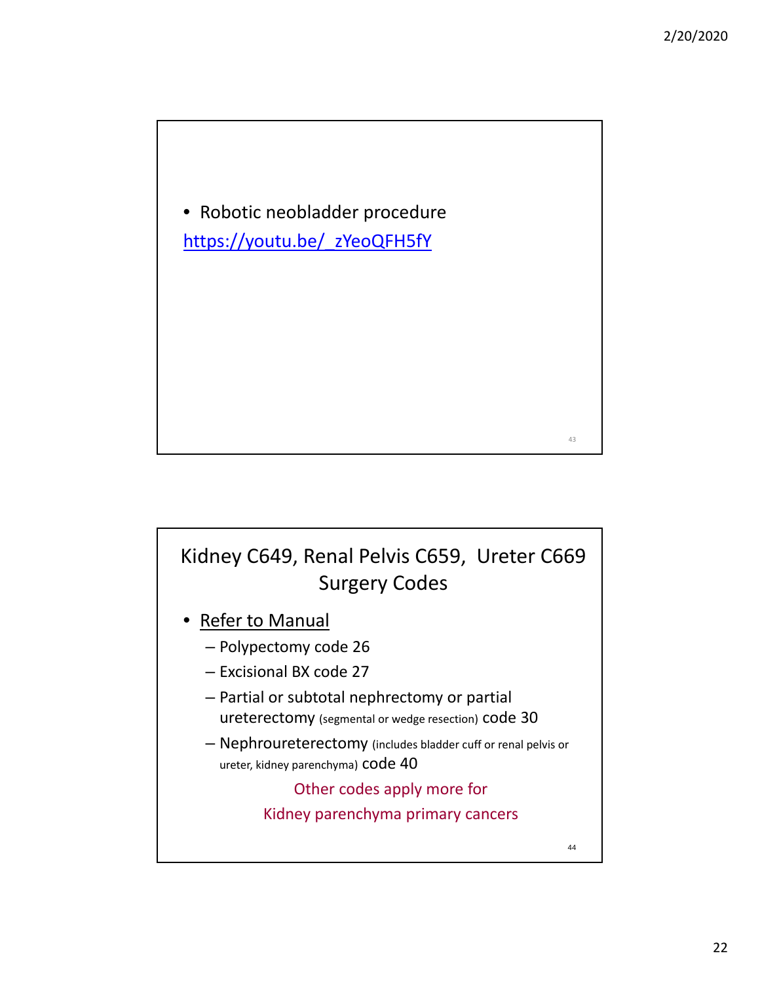• Robotic neobladder procedure https://youtu.be/\_zYeoQFH5fY

#### Kidney C649, Renal Pelvis C659, Ureter C669 Surgery Codes

- **Refer to Manual** 
	- Polypectomy code 26
	- Excisional BX code 27
	- Partial or subtotal nephrectomy or partial ureterectomy (segmental or wedge resection) code 30
	- Nephroureterectomy (includes bladder cuff or renal pelvis or ureter, kidney parenchyma) code 40

Other codes apply more for

Kidney parenchyma primary cancers

44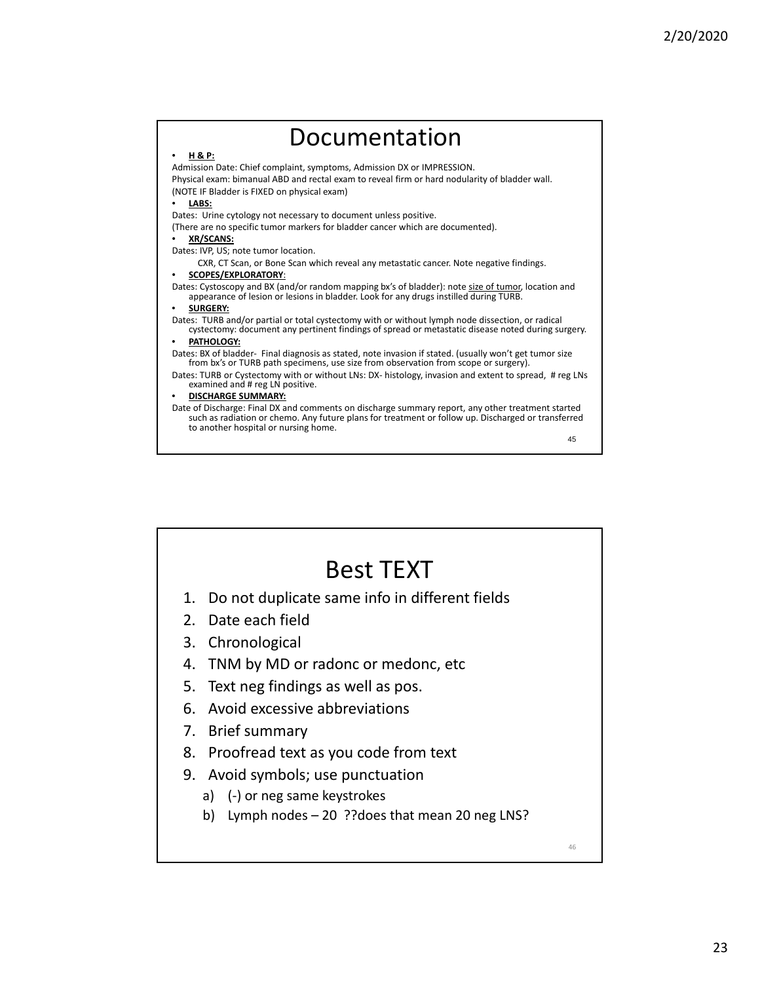#### 45  $\frac{H_{\mathbf{R} \cdot \mathbf{P}}}{H_{\mathbf{R} \cdot \mathbf{P}}}}$  Documentation Admission Date: Chief complaint, symptoms, Admission DX or IMPRESSION. Physical exam: bimanual ABD and rectal exam to reveal firm or hard nodularity of bladder wall. (NOTE IF Bladder is FIXED on physical exam) • **LABS:** Dates: Urine cytology not necessary to document unless positive. (There are no specific tumor markers for bladder cancer which are documented). • **XR/SCANS:** Dates: IVP, US; note tumor location. CXR, CT Scan, or Bone Scan which reveal any metastatic cancer. Note negative findings. • **SCOPES/EXPLORATORY**: Dates: Cystoscopy and BX (and/or random mapping bx's of bladder): note size of tumor, location and appearance of lesion or lesions in bladder. Look for any drugs instilled during TURB. • **SURGERY:** Dates: TURB and/or partial or total cystectomy with or without lymph node dissection, or radical cystectomy: document any pertinent findings of spread or metastatic disease noted during surgery. • **PATHOLOGY:** Dates: BX of bladder‐ Final diagnosis as stated, note invasion if stated. (usually won't get tumor size from bx's or TURB path specimens, use size from observation from scope or surgery). Dates: TURB or Cystectomy with or without LNs: DX- histology, invasion and extent to spread, # reg LNs examined and # reg LN positive. • **DISCHARGE SUMMARY:** Date of Discharge: Final DX and comments on discharge summary report, any other treatment started such as radiation or chemo. Any future plans for treatment or follow up. Discharged or transferred to another hospital or nursing home.

![](_page_22_Figure_2.jpeg)